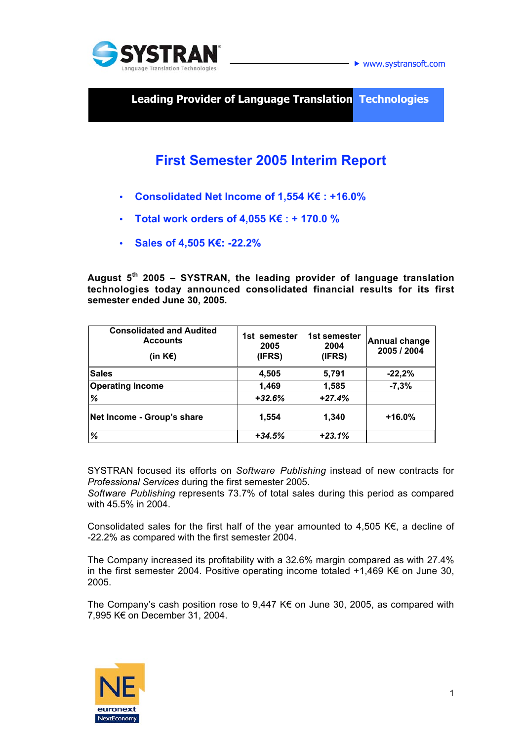

www.systransoft.com

**Leading Provider of Language Translation Technologies**

# **First Semester 2005 Interim Report**

- **Consolidated Net Income of 1,554 K€ : +16.0%**
- **Total work orders of 4,055 K€ : + 170.0 %**
- **Sales of 4,505 K€: -22.2%**

**August 5th 2005 – SYSTRAN, the leading provider of language translation technologies today announced consolidated financial results for its first semester ended June 30, 2005.**

| <b>Consolidated and Audited</b><br><b>Accounts</b><br>(in K $\varepsilon$ ) | 1st semester<br>2005<br>(IFRS) | 1st semester<br>2004<br>(IFRS) | <b>Annual change</b><br>2005 / 2004 |
|-----------------------------------------------------------------------------|--------------------------------|--------------------------------|-------------------------------------|
| <b>Sales</b>                                                                | 4,505                          | 5,791                          | $-22,2%$                            |
| <b>Operating Income</b>                                                     | 1,469                          | 1,585                          | $-7,3%$                             |
| %                                                                           | $+32.6%$                       | $+27.4%$                       |                                     |
| Net Income - Group's share                                                  | 1,554                          | 1,340                          | $+16.0%$                            |
| %                                                                           | $+34.5%$                       | $+23.1%$                       |                                     |

SYSTRAN focused its efforts on *Software Publishing* instead of new contracts for *Professional Services* during the first semester 2005.

*Software Publishing* represents 73.7% of total sales during this period as compared with 45.5% in 2004.

Consolidated sales for the first half of the year amounted to 4,505 K $\epsilon$ , a decline of -22.2% as compared with the first semester 2004.

The Company increased its profitability with a 32.6% margin compared as with 27.4% in the first semester 2004. Positive operating income totaled +1,469 K€ on June 30, 2005.

The Company's cash position rose to 9,447 K€ on June 30, 2005, as compared with 7,995 K€ on December 31, 2004.

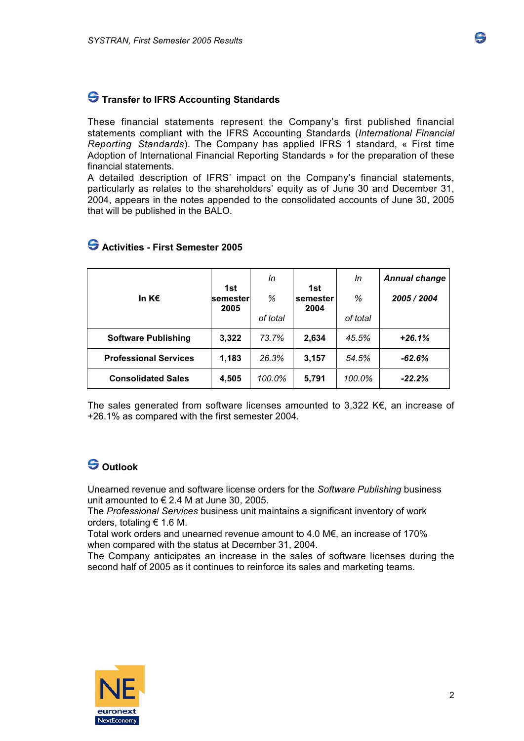

### **S** Transfer to IFRS Accounting Standards

These financial statements represent the Company's first published financial statements compliant with the IFRS Accounting Standards (*International Financial Reporting Standards*). The Company has applied IFRS 1 standard, « First time Adoption of International Financial Reporting Standards » for the preparation of these financial statements.

A detailed description of IFRS' impact on the Company's financial statements, particularly as relates to the shareholders' equity as of June 30 and December 31, 2004, appears in the notes appended to the consolidated accounts of June 30, 2005 that will be published in the BALO.

|                              |                 | In       |                 | In       | <b>Annual change</b> |
|------------------------------|-----------------|----------|-----------------|----------|----------------------|
| In K $\epsilon$              | 1st<br>semester | %        | 1st<br>semester | %        | 2005 / 2004          |
|                              | 2005            | of total | 2004            | of total |                      |
| <b>Software Publishing</b>   | 3,322           | 73.7%    | 2,634           | 45.5%    | $+26.1%$             |
| <b>Professional Services</b> | 1,183           | 26.3%    | 3,157           | 54.5%    | $-62.6%$             |
| <b>Consolidated Sales</b>    | 4,505           | 100.0%   | 5,791           | 100.0%   | $-22.2%$             |

### **Activities - First Semester 2005**

The sales generated from software licenses amounted to 3,322 K $\epsilon$ , an increase of +26.1% as compared with the first semester 2004.

# **Outlook**

Unearned revenue and software license orders for the *Software Publishing* business unit amounted to  $\in$  2.4 M at June 30, 2005.

The *Professional Services* business unit maintains a significant inventory of work orders, totaling € 1.6 M.

Total work orders and unearned revenue amount to 4.0 M€, an increase of 170% when compared with the status at December 31, 2004.

The Company anticipates an increase in the sales of software licenses during the second half of 2005 as it continues to reinforce its sales and marketing teams.

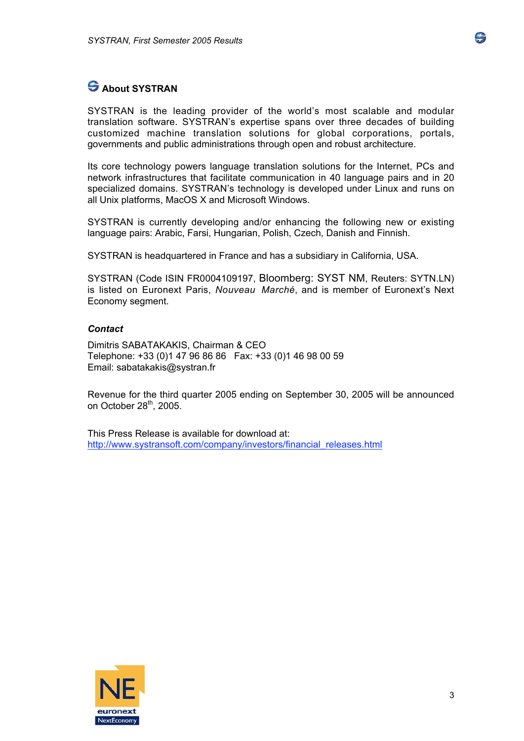

# **About SYSTRAN**

SYSTRAN is the leading provider of the world's most scalable and modular translation software. SYSTRAN's expertise spans over three decades of building customized machine translation solutions for global corporations, portals, governments and public administrations through open and robust architecture.

Its core technology powers language translation solutions for the Internet, PCs and network infrastructures that facilitate communication in 40 language pairs and in 20 specialized domains. SYSTRAN's technology is developed under Linux and runs on all Unix platforms, MacOS X and Microsoft Windows.

SYSTRAN is currently developing and/or enhancing the following new or existing language pairs: Arabic, Farsi, Hungarian, Polish, Czech, Danish and Finnish.

SYSTRAN is headquartered in France and has a subsidiary in California, USA.

SYSTRAN (Code ISIN FR0004109197, Bloomberg: SYST NM, Reuters: SYTN.LN) is listed on Euronext Paris, *Nouveau Marché*, and is member of Euronext's Next Economy segment.

#### *Contact*

Dimitris SABATAKAKIS, Chairman & CEO Telephone: +33 (0)1 47 96 86 86 Fax: +33 (0)1 46 98 00 59 Email: sabatakakis@systran.fr

Revenue for the third quarter 2005 ending on September 30, 2005 will be announced on October  $28<sup>th</sup>$ , 2005.

This Press Release is available for download at: http://www.systransoft.com/company/investors/financial\_releases.html